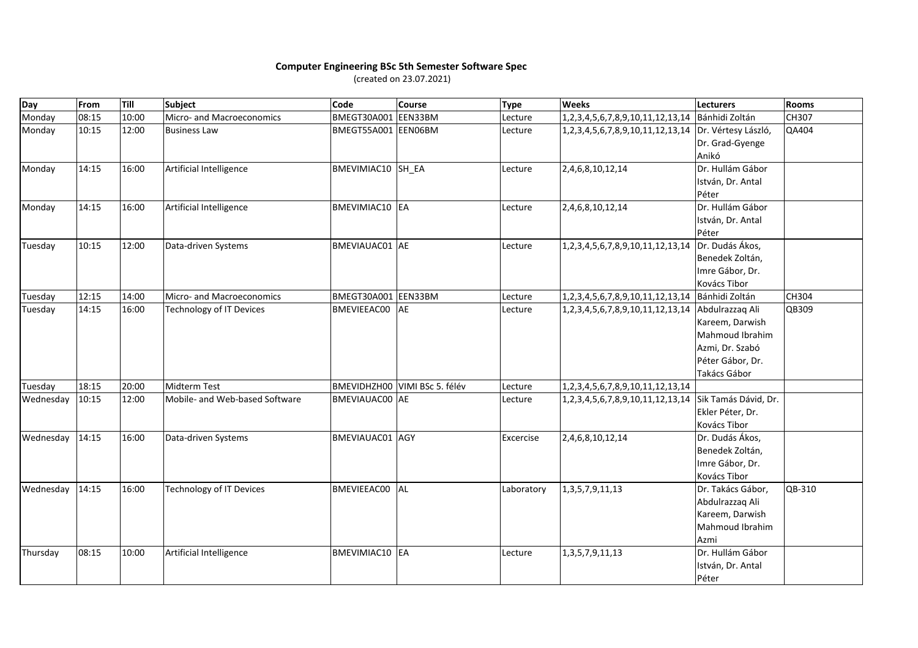## **Computer Engineering BSc 5th Semester Software Spec** (created on 23.07.2021)

| Day       | From  | Till  | <b>Subject</b>                  | <b>Code</b>           | <b>Course</b>                 | <b>Type</b> | <b>Weeks</b>                                         | Lecturers            | <b>Rooms</b> |
|-----------|-------|-------|---------------------------------|-----------------------|-------------------------------|-------------|------------------------------------------------------|----------------------|--------------|
| Monday    | 08:15 | 10:00 | Micro- and Macroeconomics       | BMEGT30A001 EEN33BM   |                               | Lecture     | 1,2,3,4,5,6,7,8,9,10,11,12,13,14                     | Bánhidi Zoltán       | <b>CH307</b> |
| Monday    | 10:15 | 12:00 | <b>Business Law</b>             | BMEGT55A001 EEN06BM   |                               | Lecture     | 1,2,3,4,5,6,7,8,9,10,11,12,13,14 Dr. Vértesy László, |                      | QA404        |
|           |       |       |                                 |                       |                               |             |                                                      | Dr. Grad-Gyenge      |              |
|           |       |       |                                 |                       |                               |             |                                                      | Anikó                |              |
| Monday    | 14:15 | 16:00 | Artificial Intelligence         | BMEVIMIAC10 SH EA     |                               | Lecture     | 2,4,6,8,10,12,14                                     | Dr. Hullám Gábor     |              |
|           |       |       |                                 |                       |                               |             |                                                      | István, Dr. Antal    |              |
|           |       |       |                                 |                       |                               |             |                                                      | Péter                |              |
| Monday    | 14:15 | 16:00 | Artificial Intelligence         | BMEVIMIAC10 EA        |                               | Lecture     | 2,4,6,8,10,12,14                                     | Dr. Hullám Gábor     |              |
|           |       |       |                                 |                       |                               |             |                                                      | István, Dr. Antal    |              |
|           |       |       |                                 |                       |                               |             |                                                      | Péter                |              |
| Tuesday   | 10:15 | 12:00 | Data-driven Systems             | BMEVIAUAC01 AE        |                               | Lecture     | 1,2,3,4,5,6,7,8,9,10,11,12,13,14                     | Dr. Dudás Ákos,      |              |
|           |       |       |                                 |                       |                               |             |                                                      | Benedek Zoltán,      |              |
|           |       |       |                                 |                       |                               |             |                                                      | Imre Gábor, Dr.      |              |
|           |       |       |                                 |                       |                               |             |                                                      | Kovács Tibor         |              |
| Tuesday   | 12:15 | 14:00 | Micro- and Macroeconomics       | BMEGT30A001           | EEN33BM                       | Lecture     | 1,2,3,4,5,6,7,8,9,10,11,12,13,14                     | Bánhidi Zoltán       | CH304        |
| Tuesday   | 14:15 | 16:00 | <b>Technology of IT Devices</b> | <b>BMEVIEEAC00</b>    | AE                            | Lecture     | 1,2,3,4,5,6,7,8,9,10,11,12,13,14                     | Abdulrazzaq Ali      | QB309        |
|           |       |       |                                 |                       |                               |             |                                                      | Kareem, Darwish      |              |
|           |       |       |                                 |                       |                               |             |                                                      | Mahmoud Ibrahim      |              |
|           |       |       |                                 |                       |                               |             |                                                      | Azmi, Dr. Szabó      |              |
|           |       |       |                                 |                       |                               |             |                                                      | Péter Gábor, Dr.     |              |
|           |       |       |                                 |                       |                               |             |                                                      | Takács Gábor         |              |
| Tuesday   | 18:15 | 20:00 | <b>Midterm Test</b>             |                       | BMEVIDHZHOO VIMI BSc 5. félév | Lecture     | 1,2,3,4,5,6,7,8,9,10,11,12,13,14                     |                      |              |
| Wednesday | 10:15 | 12:00 | Mobile- and Web-based Software  | <b>BMEVIAUAC00 AE</b> |                               | Lecture     | 1,2,3,4,5,6,7,8,9,10,11,12,13,14                     | Sik Tamás Dávid, Dr. |              |
|           |       |       |                                 |                       |                               |             |                                                      | Ekler Péter, Dr.     |              |
|           |       |       |                                 |                       |                               |             |                                                      | Kovács Tibor         |              |
| Wednesday | 14:15 | 16:00 | Data-driven Systems             | BMEVIAUAC01 AGY       |                               | Excercise   | 2,4,6,8,10,12,14                                     | Dr. Dudás Ákos,      |              |
|           |       |       |                                 |                       |                               |             |                                                      | Benedek Zoltán,      |              |
|           |       |       |                                 |                       |                               |             |                                                      | Imre Gábor, Dr.      |              |
|           |       |       |                                 |                       |                               |             |                                                      | Kovács Tibor         |              |
| Wednesday | 14:15 | 16:00 | Technology of IT Devices        | <b>BMEVIEEAC00</b>    | <b>AL</b>                     | Laboratory  | 1, 3, 5, 7, 9, 11, 13                                | Dr. Takács Gábor,    | QB-310       |
|           |       |       |                                 |                       |                               |             |                                                      | Abdulrazzaq Ali      |              |
|           |       |       |                                 |                       |                               |             |                                                      | Kareem, Darwish      |              |
|           |       |       |                                 |                       |                               |             |                                                      | Mahmoud Ibrahim      |              |
|           |       |       |                                 |                       |                               |             |                                                      | Azmi                 |              |
| Thursday  | 08:15 | 10:00 | Artificial Intelligence         | <b>BMEVIMIAC10 EA</b> |                               | Lecture     | 1, 3, 5, 7, 9, 11, 13                                | Dr. Hullám Gábor     |              |
|           |       |       |                                 |                       |                               |             |                                                      | István, Dr. Antal    |              |
|           |       |       |                                 |                       |                               |             |                                                      | Péter                |              |